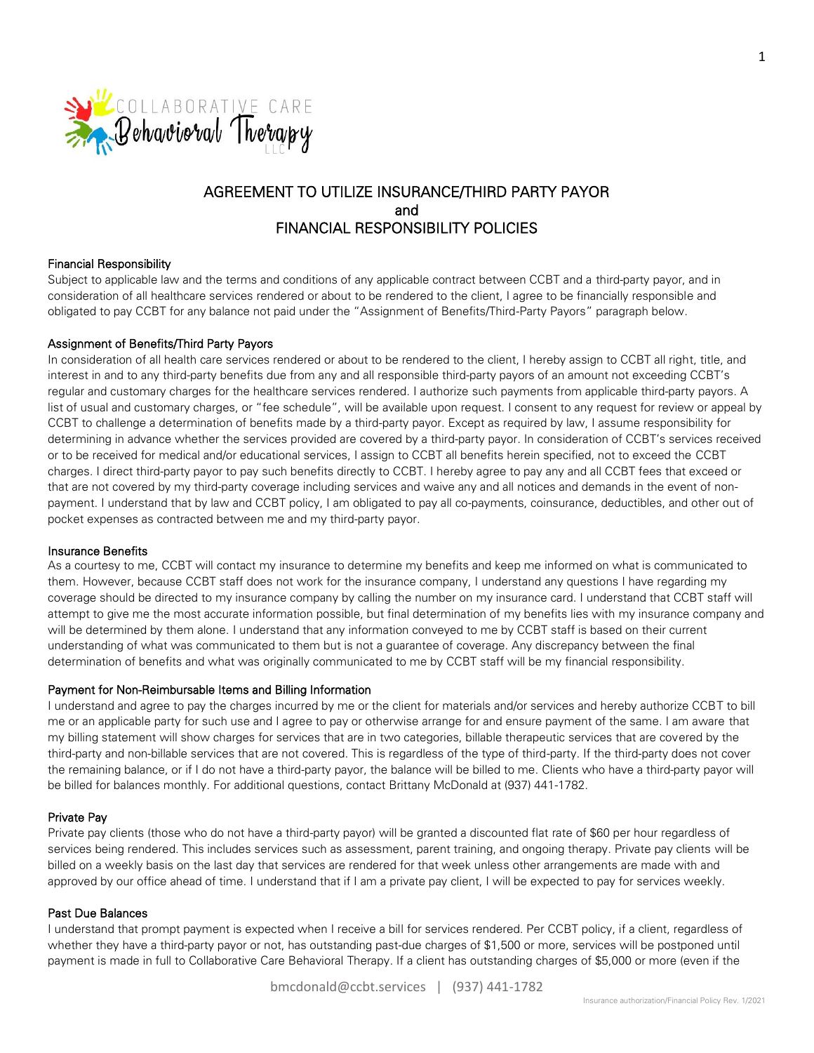

# AGREEMENT TO UTILIZE INSURANCE/THIRD PARTY PAYOR and FINANCIAL RESPONSIBILITY POLICIES

#### Financial Responsibility

Subject to applicable law and the terms and conditions of any applicable contract between CCBT and a third-party payor, and in consideration of all healthcare services rendered or about to be rendered to the client, I agree to be financially responsible and obligated to pay CCBT for any balance not paid under the "Assignment of Benefits/Third-Party Payors" paragraph below.

#### Assignment of Benefits/Third Party Payors

In consideration of all health care services rendered or about to be rendered to the client, I hereby assign to CCBT all right, title, and interest in and to any third-party benefits due from any and all responsible third-party payors of an amount not exceeding CCBT's regular and customary charges for the healthcare services rendered. I authorize such payments from applicable third-party payors. A list of usual and customary charges, or "fee schedule", will be available upon request. I consent to any request for review or appeal by CCBT to challenge a determination of benefits made by a third-party payor. Except as required by law, I assume responsibility for determining in advance whether the services provided are covered by a third-party payor. In consideration of CCBT's services received or to be received for medical and/or educational services, I assign to CCBT all benefits herein specified, not to exceed the CCBT charges. I direct third-party payor to pay such benefits directly to CCBT. I hereby agree to pay any and all CCBT fees that exceed or that are not covered by my third-party coverage including services and waive any and all notices and demands in the event of nonpayment. I understand that by law and CCBT policy, I am obligated to pay all co-payments, coinsurance, deductibles, and other out of pocket expenses as contracted between me and my third-party payor.

#### Insurance Benefits

As a courtesy to me, CCBT will contact my insurance to determine my benefits and keep me informed on what is communicated to them. However, because CCBT staff does not work for the insurance company, I understand any questions I have regarding my coverage should be directed to my insurance company by calling the number on my insurance card. I understand that CCBT staff will attempt to give me the most accurate information possible, but final determination of my benefits lies with my insurance company and will be determined by them alone. I understand that any information conveyed to me by CCBT staff is based on their current understanding of what was communicated to them but is not a guarantee of coverage. Any discrepancy between the final determination of benefits and what was originally communicated to me by CCBT staff will be my financial responsibility.

#### Payment for Non-Reimbursable Items and Billing Information

I understand and agree to pay the charges incurred by me or the client for materials and/or services and hereby authorize CCBT to bill me or an applicable party for such use and I agree to pay or otherwise arrange for and ensure payment of the same. I am aware that my billing statement will show charges for services that are in two categories, billable therapeutic services that are covered by the third-party and non-billable services that are not covered. This is regardless of the type of third-party. If the third-party does not cover the remaining balance, or if I do not have a third-party payor, the balance will be billed to me. Clients who have a third-party payor will be billed for balances monthly. For additional questions, contact Brittany McDonald at (937) 441-1782.

#### Private Pay

Private pay clients (those who do not have a third-party payor) will be granted a discounted flat rate of \$60 per hour regardless of services being rendered. This includes services such as assessment, parent training, and ongoing therapy. Private pay clients will be billed on a weekly basis on the last day that services are rendered for that week unless other arrangements are made with and approved by our office ahead of time. I understand that if I am a private pay client, I will be expected to pay for services weekly.

#### Past Due Balances

I understand that prompt payment is expected when I receive a bill for services rendered. Per CCBT policy, if a client, regardless of whether they have a third-party payor or not, has outstanding past-due charges of \$1,500 or more, services will be postponed until payment is made in full to Collaborative Care Behavioral Therapy. If a client has outstanding charges of \$5,000 or more (even if the